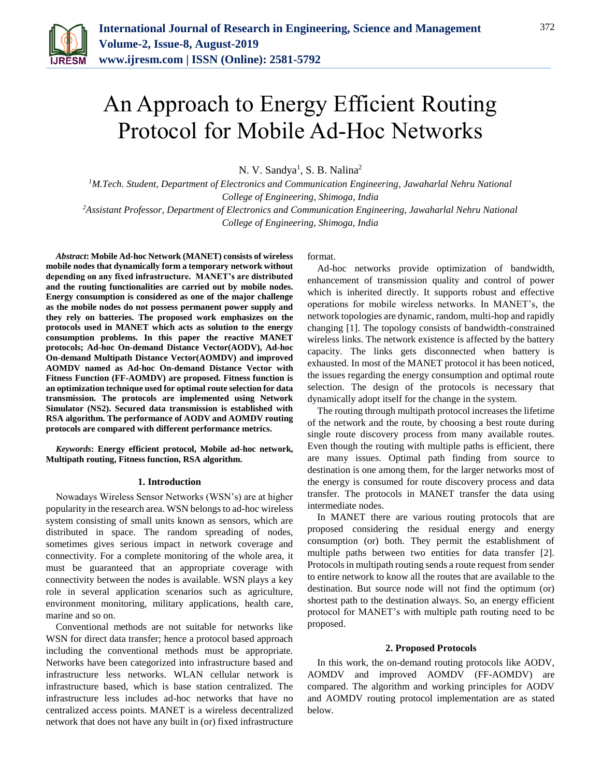

# An Approach to Energy Efficient Routing Protocol for Mobile Ad-Hoc Networks

N. V. Sandya<sup>1</sup>, S. B. Nalina<sup>2</sup>

*<sup>1</sup>M.Tech. Student, Department of Electronics and Communication Engineering, Jawaharlal Nehru National College of Engineering, Shimoga, India*

*<sup>2</sup>Assistant Professor, Department of Electronics and Communication Engineering, Jawaharlal Nehru National College of Engineering, Shimoga, India*

*Abstract***: Mobile Ad-hoc Network (MANET) consists of wireless mobile nodes that dynamically form a temporary network without depending on any fixed infrastructure. MANET's are distributed and the routing functionalities are carried out by mobile nodes. Energy consumption is considered as one of the major challenge as the mobile nodes do not possess permanent power supply and they rely on batteries. The proposed work emphasizes on the protocols used in MANET which acts as solution to the energy consumption problems. In this paper the reactive MANET protocols; Ad-hoc On-demand Distance Vector(AODV), Ad-hoc On-demand Multipath Distance Vector(AOMDV) and improved AOMDV named as Ad-hoc On-demand Distance Vector with Fitness Function (FF-AOMDV) are proposed. Fitness function is an optimization technique used for optimal route selection for data transmission. The protocols are implemented using Network Simulator (NS2). Secured data transmission is established with RSA algorithm. The performance of AODV and AOMDV routing protocols are compared with different performance metrics.**

*Keywords***: Energy efficient protocol, Mobile ad-hoc network, Multipath routing, Fitness function, RSA algorithm.**

## **1. Introduction**

Nowadays Wireless Sensor Networks (WSN's) are at higher popularity in the research area. WSN belongs to ad-hoc wireless system consisting of small units known as sensors, which are distributed in space. The random spreading of nodes, sometimes gives serious impact in network coverage and connectivity. For a complete monitoring of the whole area, it must be guaranteed that an appropriate coverage with connectivity between the nodes is available. WSN plays a key role in several application scenarios such as agriculture, environment monitoring, military applications, health care, marine and so on.

Conventional methods are not suitable for networks like WSN for direct data transfer; hence a protocol based approach including the conventional methods must be appropriate. Networks have been categorized into infrastructure based and infrastructure less networks. WLAN cellular network is infrastructure based, which is base station centralized. The infrastructure less includes ad-hoc networks that have no centralized access points. MANET is a wireless decentralized network that does not have any built in (or) fixed infrastructure

format.

Ad-hoc networks provide optimization of bandwidth, enhancement of transmission quality and control of power which is inherited directly. It supports robust and effective operations for mobile wireless networks. In MANET's, the network topologies are dynamic, random, multi-hop and rapidly changing [1]. The topology consists of bandwidth-constrained wireless links. The network existence is affected by the battery capacity. The links gets disconnected when battery is exhausted. In most of the MANET protocol it has been noticed, the issues regarding the energy consumption and optimal route selection. The design of the protocols is necessary that dynamically adopt itself for the change in the system.

The routing through multipath protocol increases the lifetime of the network and the route, by choosing a best route during single route discovery process from many available routes. Even though the routing with multiple paths is efficient, there are many issues. Optimal path finding from source to destination is one among them, for the larger networks most of the energy is consumed for route discovery process and data transfer. The protocols in MANET transfer the data using intermediate nodes.

In MANET there are various routing protocols that are proposed considering the residual energy and energy consumption (or) both. They permit the establishment of multiple paths between two entities for data transfer [2]. Protocols in multipath routing sends a route request from sender to entire network to know all the routes that are available to the destination. But source node will not find the optimum (or) shortest path to the destination always. So, an energy efficient protocol for MANET's with multiple path routing need to be proposed.

## **2. Proposed Protocols**

In this work, the on-demand routing protocols like AODV, AOMDV and improved AOMDV (FF-AOMDV) are compared. The algorithm and working principles for AODV and AOMDV routing protocol implementation are as stated below.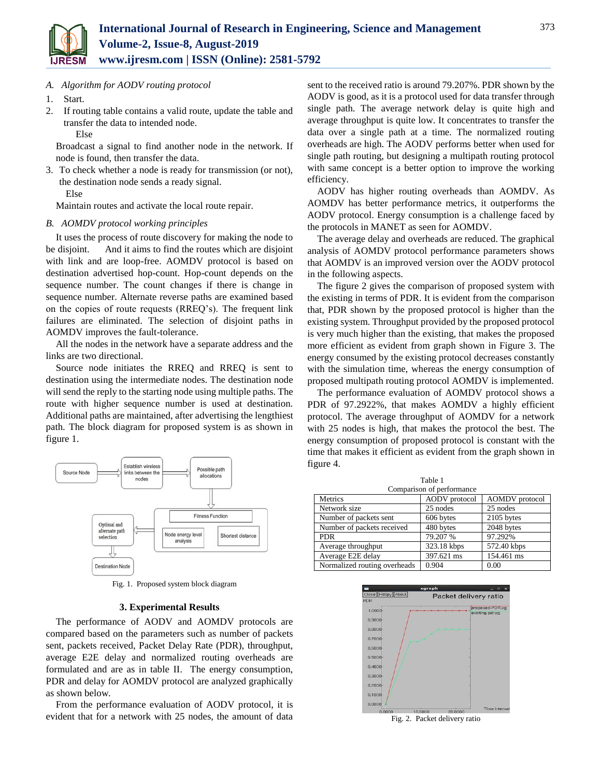

*A. Algorithm for AODV routing protocol*

- 1. Start.
- 2. If routing table contains a valid route, update the table and transfer the data to intended node. Else

Broadcast a signal to find another node in the network. If node is found, then transfer the data.

3. To check whether a node is ready for transmission (or not), the destination node sends a ready signal. Else

Maintain routes and activate the local route repair.

## *B. AOMDV protocol working principles*

It uses the process of route discovery for making the node to be disjoint. And it aims to find the routes which are disjoint with link and are loop-free. AOMDV protocol is based on destination advertised hop-count. Hop-count depends on the sequence number. The count changes if there is change in sequence number. Alternate reverse paths are examined based on the copies of route requests (RREQ's). The frequent link failures are eliminated. The selection of disjoint paths in AOMDV improves the fault-tolerance.

All the nodes in the network have a separate address and the links are two directional.

Source node initiates the RREQ and RREQ is sent to destination using the intermediate nodes. The destination node will send the reply to the starting node using multiple paths. The route with higher sequence number is used at destination. Additional paths are maintained, after advertising the lengthiest path. The block diagram for proposed system is as shown in figure 1.



Fig. 1. Proposed system block diagram

## **3. Experimental Results**

The performance of AODV and AOMDV protocols are compared based on the parameters such as number of packets sent, packets received, Packet Delay Rate (PDR), throughput, average E2E delay and normalized routing overheads are formulated and are as in table II. The energy consumption, PDR and delay for AOMDV protocol are analyzed graphically as shown below.

From the performance evaluation of AODV protocol, it is evident that for a network with 25 nodes, the amount of data sent to the received ratio is around 79.207%. PDR shown by the AODV is good, as it is a protocol used for data transfer through single path. The average network delay is quite high and average throughput is quite low. It concentrates to transfer the data over a single path at a time. The normalized routing overheads are high. The AODV performs better when used for single path routing, but designing a multipath routing protocol with same concept is a better option to improve the working efficiency.

AODV has higher routing overheads than AOMDV. As AOMDV has better performance metrics, it outperforms the AODV protocol. Energy consumption is a challenge faced by the protocols in MANET as seen for AOMDV.

The average delay and overheads are reduced. The graphical analysis of AOMDV protocol performance parameters shows that AOMDV is an improved version over the AODV protocol in the following aspects.

The figure 2 gives the comparison of proposed system with the existing in terms of PDR. It is evident from the comparison that, PDR shown by the proposed protocol is higher than the existing system. Throughput provided by the proposed protocol is very much higher than the existing, that makes the proposed more efficient as evident from graph shown in Figure 3. The energy consumed by the existing protocol decreases constantly with the simulation time, whereas the energy consumption of proposed multipath routing protocol AOMDV is implemented.

The performance evaluation of AOMDV protocol shows a PDR of 97.2922%, that makes AOMDV a highly efficient protocol. The average throughput of AOMDV for a network with 25 nodes is high, that makes the protocol the best. The energy consumption of proposed protocol is constant with the time that makes it efficient as evident from the graph shown in figure 4.

 $T<sub>1</sub>$ 

| tanie i                      |                      |                       |
|------------------------------|----------------------|-----------------------|
| Comparison of performance    |                      |                       |
| Metrics                      | <b>AODV</b> protocol | <b>AOMDV</b> protocol |
| Network size                 | 25 nodes             | 25 nodes              |
| Number of packets sent       | 606 bytes            | 2105 bytes            |
| Number of packets received   | 480 bytes            | 2048 bytes            |
| <b>PDR</b>                   | 79.207 %             | 97.292%               |
| Average throughput           | 323.18 kbps          | 572.40 kbps           |
| Average E2E delay            | 397.621 ms           | 154.461 ms            |
| Normalized routing overheads | 0.904                | 0.00                  |
|                              |                      |                       |



Fig. 2. Packet delivery ratio